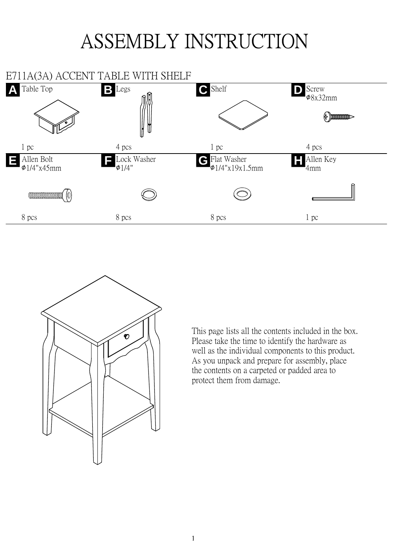## ASSEMBLY INSTRUCTION





This page lists all the contents included in the box. Please take the time to identify the hardware as well as the individual components to this product. As you unpack and prepare for assembly, place the contents on a carpeted or padded area to protect them from damage.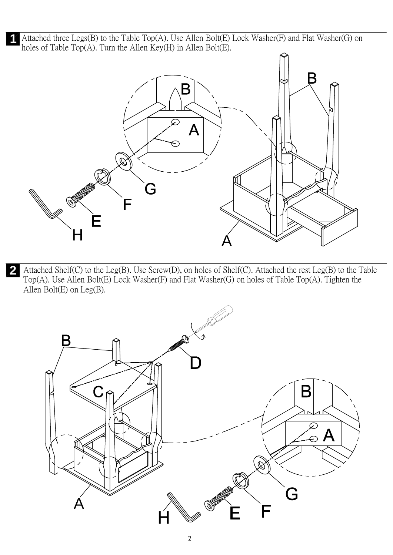Attached three Legs(B) to the Table Top(A). Use Allen Bolt(E) Lock Washer(F) and Flat Washer(G) on holes of Table Top(A). Turn the Allen Key(H) in Allen Bolt(E).



Attached Shelf(C) to the Leg(B). Use Screw(D), on holes of Shelf(C). Attached the rest Leg(B) to the Table Top(A). Use Allen Bolt(E) Lock Washer(F) and Flat Washer(G) on holes of Table Top(A). Tighten the Allen Bolt(E) on Leg(B). **2**